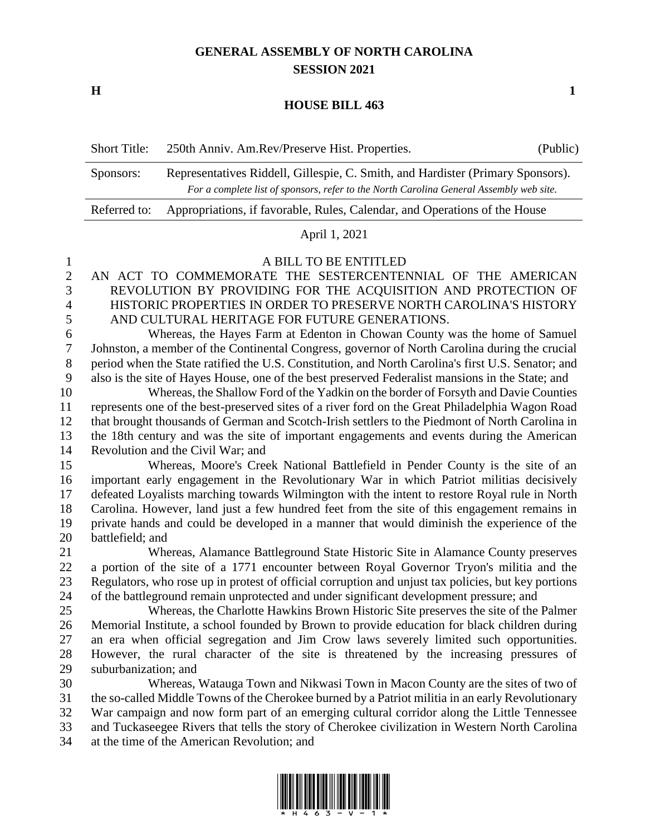# **GENERAL ASSEMBLY OF NORTH CAROLINA SESSION 2021**

**H 1**

### **HOUSE BILL 463**

| <b>Short Title:</b> | 250th Anniv. Am.Rev/Preserve Hist. Properties.                                                                                                                             | (Public) |
|---------------------|----------------------------------------------------------------------------------------------------------------------------------------------------------------------------|----------|
| Sponsors:           | Representatives Riddell, Gillespie, C. Smith, and Hardister (Primary Sponsors).<br>For a complete list of sponsors, refer to the North Carolina General Assembly web site. |          |
| Referred to:        | Appropriations, if favorable, Rules, Calendar, and Operations of the House                                                                                                 |          |

## April 1, 2021

### A BILL TO BE ENTITLED

 AN ACT TO COMMEMORATE THE SESTERCENTENNIAL OF THE AMERICAN REVOLUTION BY PROVIDING FOR THE ACQUISITION AND PROTECTION OF HISTORIC PROPERTIES IN ORDER TO PRESERVE NORTH CAROLINA'S HISTORY AND CULTURAL HERITAGE FOR FUTURE GENERATIONS.

 Whereas, the Hayes Farm at Edenton in Chowan County was the home of Samuel Johnston, a member of the Continental Congress, governor of North Carolina during the crucial period when the State ratified the U.S. Constitution, and North Carolina's first U.S. Senator; and also is the site of Hayes House, one of the best preserved Federalist mansions in the State; and

 Whereas, the Shallow Ford of the Yadkin on the border of Forsyth and Davie Counties represents one of the best-preserved sites of a river ford on the Great Philadelphia Wagon Road that brought thousands of German and Scotch-Irish settlers to the Piedmont of North Carolina in the 18th century and was the site of important engagements and events during the American Revolution and the Civil War; and

 Whereas, Moore's Creek National Battlefield in Pender County is the site of an important early engagement in the Revolutionary War in which Patriot militias decisively defeated Loyalists marching towards Wilmington with the intent to restore Royal rule in North Carolina. However, land just a few hundred feet from the site of this engagement remains in private hands and could be developed in a manner that would diminish the experience of the battlefield; and

 Whereas, Alamance Battleground State Historic Site in Alamance County preserves a portion of the site of a 1771 encounter between Royal Governor Tryon's militia and the Regulators, who rose up in protest of official corruption and unjust tax policies, but key portions of the battleground remain unprotected and under significant development pressure; and

 Whereas, the Charlotte Hawkins Brown Historic Site preserves the site of the Palmer Memorial Institute, a school founded by Brown to provide education for black children during an era when official segregation and Jim Crow laws severely limited such opportunities. However, the rural character of the site is threatened by the increasing pressures of suburbanization; and

 Whereas, Watauga Town and Nikwasi Town in Macon County are the sites of two of the so-called Middle Towns of the Cherokee burned by a Patriot militia in an early Revolutionary War campaign and now form part of an emerging cultural corridor along the Little Tennessee and Tuckaseegee Rivers that tells the story of Cherokee civilization in Western North Carolina at the time of the American Revolution; and